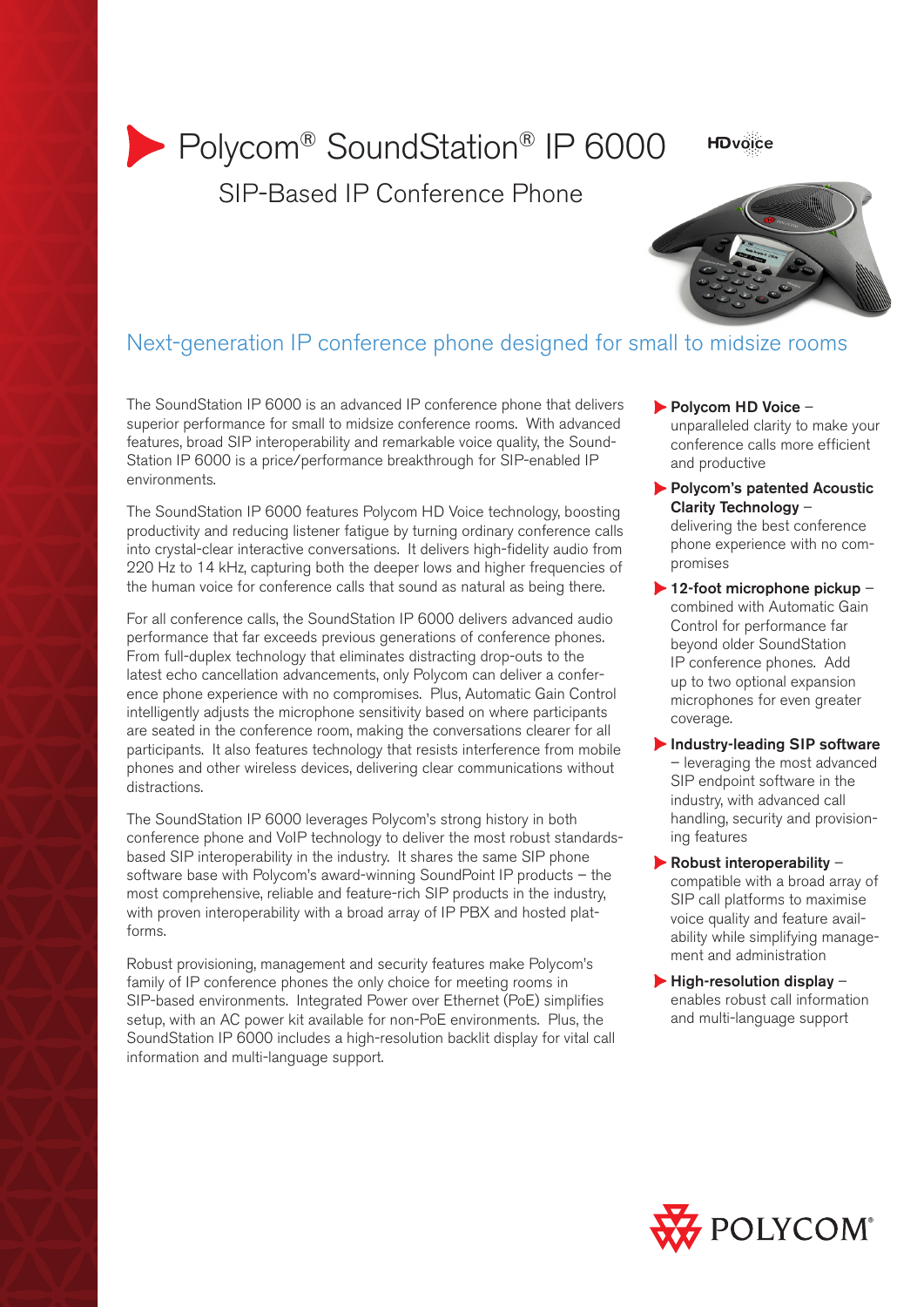# Polycom<sup>®</sup> SoundStation<sup>®</sup> IP 6000 SIP-Based IP Conference Phone

**HDvoice** 



# Next-generation IP conference phone designed for small to midsize rooms

The SoundStation IP 6000 is an advanced IP conference phone that delivers superior performance for small to midsize conference rooms. With advanced features, broad SIP interoperability and remarkable voice quality, the Sound-Station IP 6000 is a price/performance breakthrough for SIP-enabled IP environments.

The SoundStation IP 6000 features Polycom HD Voice technology, boosting productivity and reducing listener fatigue by turning ordinary conference calls into crystal-clear interactive conversations. It delivers high-fidelity audio from 220 Hz to 14 kHz, capturing both the deeper lows and higher frequencies of the human voice for conference calls that sound as natural as being there.

For all conference calls, the SoundStation IP 6000 delivers advanced audio performance that far exceeds previous generations of conference phones. From full-duplex technology that eliminates distracting drop-outs to the latest echo cancellation advancements, only Polycom can deliver a conference phone experience with no compromises. Plus, Automatic Gain Control intelligently adjusts the microphone sensitivity based on where participants are seated in the conference room, making the conversations clearer for all participants. It also features technology that resists interference from mobile phones and other wireless devices, delivering clear communications without distractions.

The SoundStation IP 6000 leverages Polycom's strong history in both conference phone and VoIP technology to deliver the most robust standardsbased SIP interoperability in the industry. It shares the same SIP phone software base with Polycom's award-winning SoundPoint IP products – the most comprehensive, reliable and feature-rich SIP products in the industry, with proven interoperability with a broad array of IP PBX and hosted platforms.

Robust provisioning, management and security features make Polycom's family of IP conference phones the only choice for meeting rooms in SIP-based environments. Integrated Power over Ethernet (PoE) simplifies setup, with an AC power kit available for non-PoE environments. Plus, the SoundStation IP 6000 includes a high-resolution backlit display for vital call information and multi-language support.

- Polycom HD Voice unparalleled clarity to make your conference calls more efficient and productive
- Polycom's patented Acoustic Clarity Technology – delivering the best conference phone experience with no compromises
- $\blacktriangleright$  12-foot microphone pickup combined with Automatic Gain Control for performance far beyond older SoundStation IP conference phones. Add up to two optional expansion microphones for even greater coverage.
- Industry-leading SIP software – leveraging the most advanced SIP endpoint software in the industry, with advanced call handling, security and provisioning features
- $\blacktriangleright$  Robust interoperability compatible with a broad array of SIP call platforms to maximise voice quality and feature availability while simplifying management and administration
- $\blacktriangleright$  High-resolution display enables robust call information and multi-language support